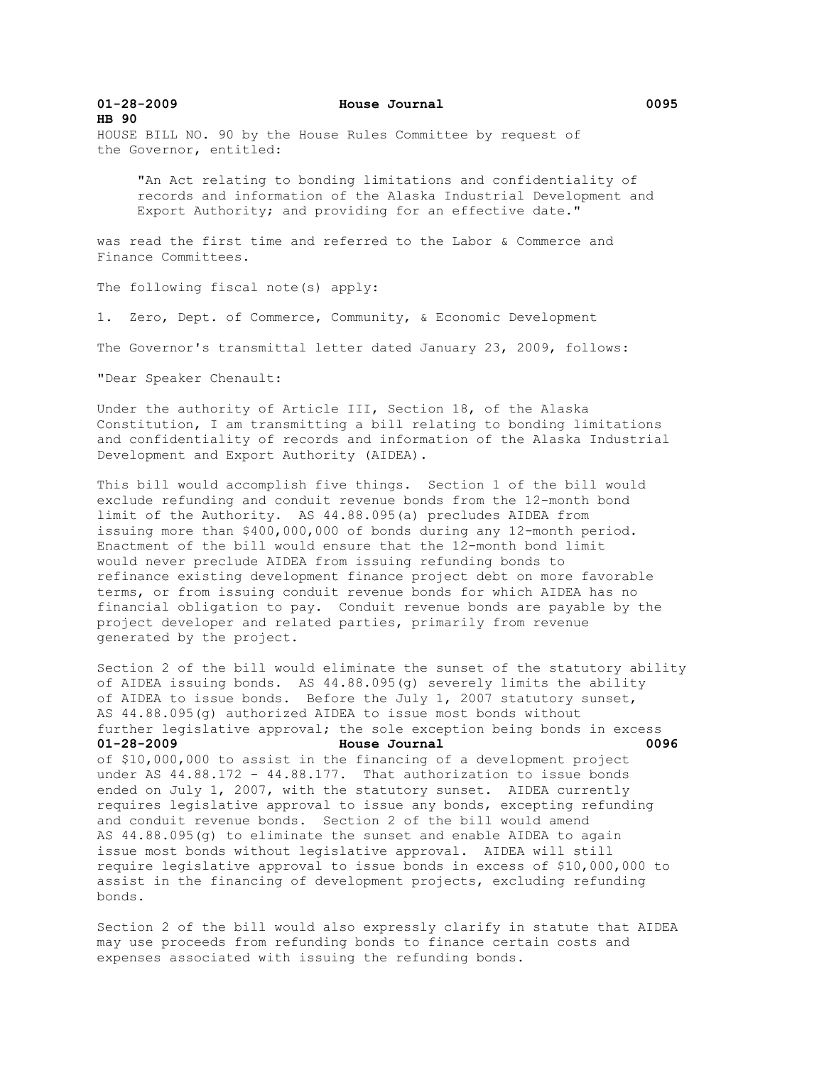**01-28-2009 House Journal 0095 HB 90**  HOUSE BILL NO. 90 by the House Rules Committee by request of the Governor, entitled:

 "An Act relating to bonding limitations and confidentiality of records and information of the Alaska Industrial Development and Export Authority; and providing for an effective date."

was read the first time and referred to the Labor & Commerce and Finance Committees.

The following fiscal note(s) apply:

1. Zero, Dept. of Commerce, Community, & Economic Development

The Governor's transmittal letter dated January 23, 2009, follows:

"Dear Speaker Chenault:

Under the authority of Article III, Section 18, of the Alaska Constitution, I am transmitting a bill relating to bonding limitations and confidentiality of records and information of the Alaska Industrial Development and Export Authority (AIDEA).

This bill would accomplish five things. Section 1 of the bill would exclude refunding and conduit revenue bonds from the 12-month bond limit of the Authority. AS 44.88.095(a) precludes AIDEA from issuing more than \$400,000,000 of bonds during any 12-month period. Enactment of the bill would ensure that the 12-month bond limit would never preclude AIDEA from issuing refunding bonds to refinance existing development finance project debt on more favorable terms, or from issuing conduit revenue bonds for which AIDEA has no financial obligation to pay. Conduit revenue bonds are payable by the project developer and related parties, primarily from revenue generated by the project.

Section 2 of the bill would eliminate the sunset of the statutory ability of AIDEA issuing bonds. AS 44.88.095(g) severely limits the ability of AIDEA to issue bonds. Before the July 1, 2007 statutory sunset, AS 44.88.095(g) authorized AIDEA to issue most bonds without further legislative approval; the sole exception being bonds in excess **01-28-2009 House Journal 0096** of \$10,000,000 to assist in the financing of a development project under AS 44.88.172 - 44.88.177. That authorization to issue bonds ended on July 1, 2007, with the statutory sunset. AIDEA currently requires legislative approval to issue any bonds, excepting refunding and conduit revenue bonds. Section 2 of the bill would amend AS 44.88.095(g) to eliminate the sunset and enable AIDEA to again issue most bonds without legislative approval. AIDEA will still require legislative approval to issue bonds in excess of \$10,000,000 to assist in the financing of development projects, excluding refunding bonds.

Section 2 of the bill would also expressly clarify in statute that AIDEA may use proceeds from refunding bonds to finance certain costs and expenses associated with issuing the refunding bonds.